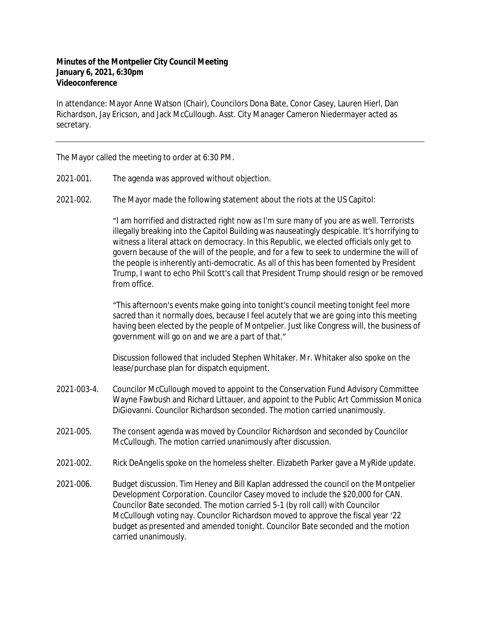## **Minutes of the Montpelier City Council Meeting January 6, 2021, 6:30pm Videoconference**

In attendance: Mayor Anne Watson (Chair), Councilors Dona Bate, Conor Casey, Lauren Hierl, Dan Richardson, Jay Ericson, and Jack McCullough. Asst. City Manager Cameron Niedermayer acted as secretary.

The Mayor called the meeting to order at 6:30 PM.

- 2021‐001. The agenda was approved without objection.
- 2021‐002. The Mayor made the following statement about the riots at the US Capitol:

"I am horrified and distracted right now as I'm sure many of you are as well. Terrorists illegally breaking into the Capitol Building was nauseatingly despicable. It's horrifying to witness a literal attack on democracy. In this Republic, we elected officials only get to govern because of the will of the people, and for a few to seek to undermine the will of the people is inherently anti-democratic. As all of this has been fomented by President Trump, I want to echo Phil Scott's call that President Trump should resign or be removed from office.

"This afternoon's events make going into tonight's council meeting tonight feel more sacred than it normally does, because I feel acutely that we are going into this meeting having been elected by the people of Montpelier. Just like Congress will, the business of government will go on and we are a part of that."

Discussion followed that included Stephen Whitaker. Mr. Whitaker also spoke on the lease/purchase plan for dispatch equipment.

- 2021‐003-4. Councilor McCullough moved to appoint to the Conservation Fund Advisory Committee Wayne Fawbush and Richard Littauer, and appoint to the Public Art Commission Monica DiGiovanni. Councilor Richardson seconded. The motion carried unanimously.
- 2021‐005. The consent agenda was moved by Councilor Richardson and seconded by Councilor McCullough. The motion carried unanimously after discussion.
- 2021‐002. Rick DeAngelis spoke on the homeless shelter. Elizabeth Parker gave a MyRide update.
- 2021‐006. Budget discussion. Tim Heney and Bill Kaplan addressed the council on the Montpelier Development Corporation. Councilor Casey moved to include the \$20,000 for CAN. Councilor Bate seconded. The motion carried 5-1 (by roll call) with Councilor McCullough voting nay. Councilor Richardson moved to approve the fiscal year '22 budget as presented and amended tonight. Councilor Bate seconded and the motion carried unanimously.